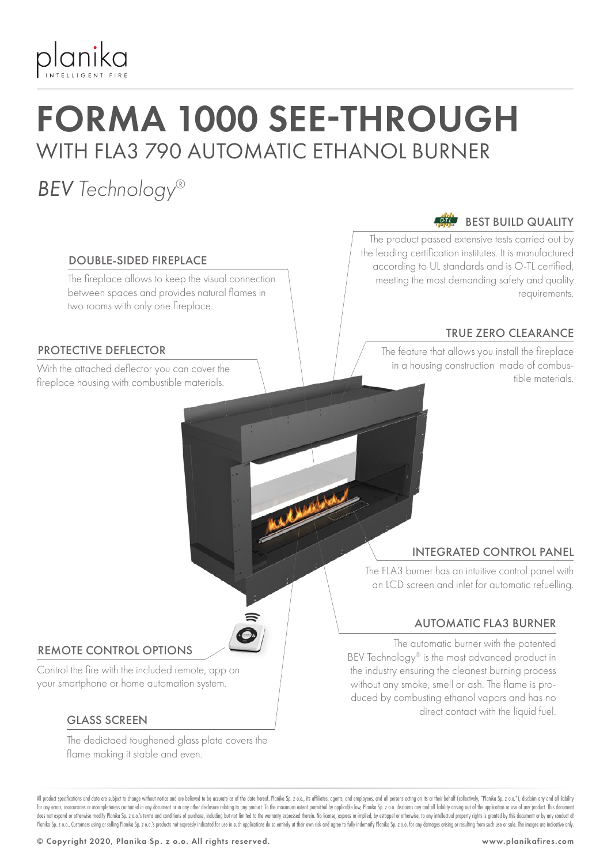

# FORMA 1000 SEE-THROUGH WITH FLA3 790 AUTOMATIC ETHANOL BURNER

## *BEV Technology®*

#### DOUBLE-SIDED FIREPLACE

The fireplace allows to keep the visual connection between spaces and provides natural flames in two rooms with only one fireplace.

#### PROTECTIVE DEFLECTOR

fireplace housing with combustible materials.

### BEST BUILD QUALITY

The product passed extensive tests carried out by the leading certification institutes. It is manufactured according to UL standards and is O-TL certified, meeting the most demanding safety and quality requirements.

#### TRUE ZERO CLEARANCE

The feature that allows you install the fireplace in a housing construction made of combus-With the attached deflector you can cover the the combus-<br>Recently the materials of the materials

#### INTEGRATED CONTROL PANEL

The FLA3 burner has an intuitive control panel with an LCD screen and inlet for automatic refuelling.

#### AUTOMATIC FLA3 BURNER

The automatic burner with the patented BEV Technology® is the most advanced product in the industry ensuring the cleanest burning process without any smoke, smell or ash. The flame is produced by combusting ethanol vapors and has no direct contact with the liquid fuel.

#### REMOTE CONTROL OPTIONS

Control the fire with the included remote, app on your smartphone or home automation system.

#### GLASS SCREEN

The dedictaed toughened glass plate covers the flame making it stable and even.

All product specifications and data are subject to change without notice and are believed to be accurate as of the date hereof. Planika So, z o.o., its affiliates, agents, and employees, and all only are action on its or t for any errors, inaccuracies or incompleteness contained in any document or in any other disclosure relating to any product. To the maximum extent permitted by applicable law, Planika Sp. z o.o. disclaims any and all liabi does not expand or otherwise modify Planika Sp. z o.o.'s terms and conditions of purchase, including but not limited to the warranty expressed therein. No license, express or implied, by estoppel or otherwise, to any intel Planika Sp. z o.o. Customers using or selling Planika Sp. z o.o.'s products not expressly indicated for use in such applications do so entirely at their own risk and agree to fully indemnify Planika Sp. z o.o. for any dama